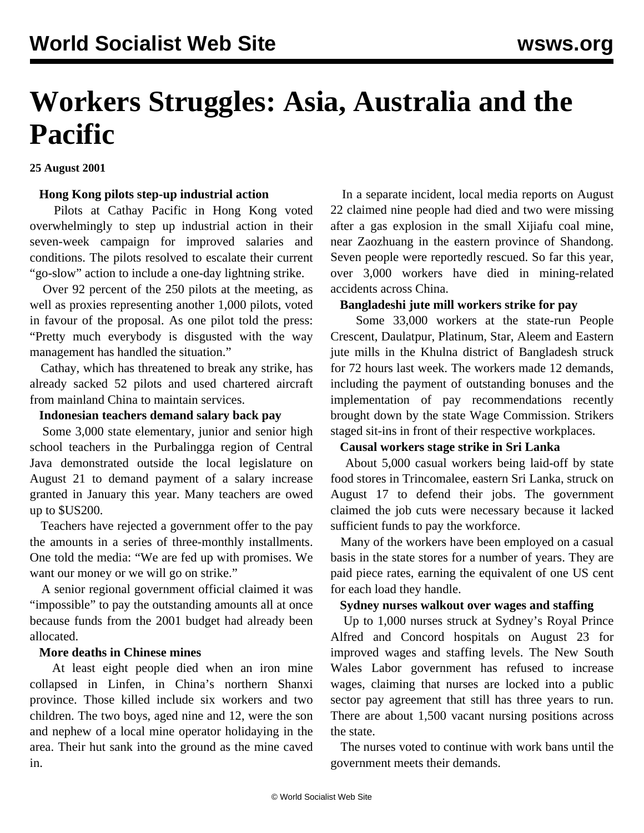# **Workers Struggles: Asia, Australia and the Pacific**

**25 August 2001**

#### **Hong Kong pilots step-up industrial action**

 Pilots at Cathay Pacific in Hong Kong voted overwhelmingly to step up industrial action in their seven-week campaign for improved salaries and conditions. The pilots resolved to escalate their current "go-slow" action to include a one-day lightning strike.

 Over 92 percent of the 250 pilots at the meeting, as well as proxies representing another 1,000 pilots, voted in favour of the proposal. As one pilot told the press: "Pretty much everybody is disgusted with the way management has handled the situation."

 Cathay, which has threatened to break any strike, has already sacked 52 pilots and used chartered aircraft from mainland China to maintain services.

#### **Indonesian teachers demand salary back pay**

 Some 3,000 state elementary, junior and senior high school teachers in the Purbalingga region of Central Java demonstrated outside the local legislature on August 21 to demand payment of a salary increase granted in January this year. Many teachers are owed up to \$US200.

 Teachers have rejected a government offer to the pay the amounts in a series of three-monthly installments. One told the media: "We are fed up with promises. We want our money or we will go on strike."

 A senior regional government official claimed it was "impossible" to pay the outstanding amounts all at once because funds from the 2001 budget had already been allocated.

#### **More deaths in Chinese mines**

 At least eight people died when an iron mine collapsed in Linfen, in China's northern Shanxi province. Those killed include six workers and two children. The two boys, aged nine and 12, were the son and nephew of a local mine operator holidaying in the area. Their hut sank into the ground as the mine caved in.

 In a separate incident, local media reports on August 22 claimed nine people had died and two were missing after a gas explosion in the small Xijiafu coal mine, near Zaozhuang in the eastern province of Shandong. Seven people were reportedly rescued. So far this year, over 3,000 workers have died in mining-related accidents across China.

#### **Bangladeshi jute mill workers strike for pay**

 Some 33,000 workers at the state-run People Crescent, Daulatpur, Platinum, Star, Aleem and Eastern jute mills in the Khulna district of Bangladesh struck for 72 hours last week. The workers made 12 demands, including the payment of outstanding bonuses and the implementation of pay recommendations recently brought down by the state Wage Commission. Strikers staged sit-ins in front of their respective workplaces.

#### **Causal workers stage strike in Sri Lanka**

 About 5,000 casual workers being laid-off by state food stores in Trincomalee, eastern Sri Lanka, struck on August 17 to defend their jobs. The government claimed the job cuts were necessary because it lacked sufficient funds to pay the workforce.

 Many of the workers have been employed on a casual basis in the state stores for a number of years. They are paid piece rates, earning the equivalent of one US cent for each load they handle.

#### **Sydney nurses walkout over wages and staffing**

 Up to 1,000 nurses struck at Sydney's Royal Prince Alfred and Concord hospitals on August 23 for improved wages and staffing levels. The New South Wales Labor government has refused to increase wages, claiming that nurses are locked into a public sector pay agreement that still has three years to run. There are about 1,500 vacant nursing positions across the state.

 The nurses voted to continue with work bans until the government meets their demands.